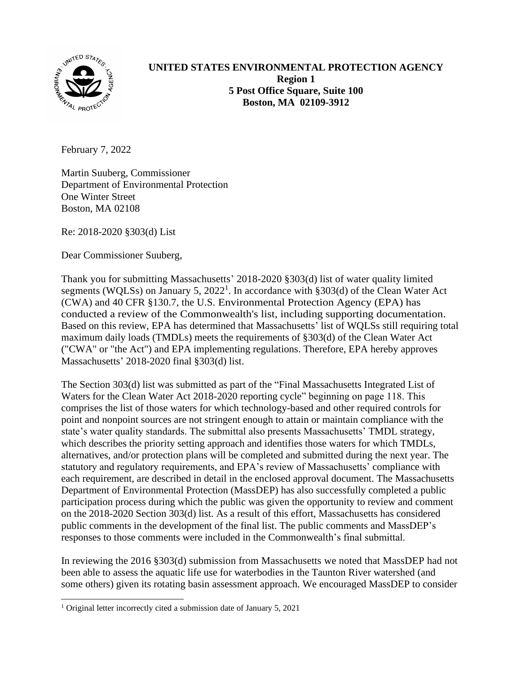

**UNITED STATES ENVIRONMENTAL PROTECTION AGENCY Region 1 5 Post Office Square, Suite 100 Boston, MA 02109-3912**

February 7, 2022

Martin Suuberg, Commissioner Department of Environmental Protection One Winter Street Boston, MA 02108

Re: 2018-2020 §303(d) List

Dear Commissioner Suuberg,

Thank you for submitting Massachusetts' 2018-2020 §303(d) list of water quality limited segments (WQLSs) on January 5, 2022<sup>1</sup>. In accordance with  $\S 303(d)$  of the Clean Water Act (CWA) and 40 CFR §130.7, the U.S. Environmental Protection Agency (EPA) has conducted a review of the Commonwealth's list, including supporting documentation. Based on this review, EPA has determined that Massachusetts' list of WQLSs still requiring total maximum daily loads (TMDLs) meets the requirements of §303(d) of the Clean Water Act ("CWA" or "the Act") and EPA implementing regulations. Therefore, EPA hereby approves Massachusetts' 2018-2020 final §303(d) list.

The Section 303(d) list was submitted as part of the "Final Massachusetts Integrated List of Waters for the Clean Water Act 2018-2020 reporting cycle" beginning on page 118. This comprises the list of those waters for which technology-based and other required controls for point and nonpoint sources are not stringent enough to attain or maintain compliance with the state's water quality standards. The submittal also presents Massachusetts' TMDL strategy, which describes the priority setting approach and identifies those waters for which TMDLs, alternatives, and/or protection plans will be completed and submitted during the next year. The statutory and regulatory requirements, and EPA's review of Massachusetts' compliance with each requirement, are described in detail in the enclosed approval document. The Massachusetts Department of Environmental Protection (MassDEP) has also successfully completed a public participation process during which the public was given the opportunity to review and comment on the 2018-2020 Section 303(d) list. As a result of this effort, Massachusetts has considered public comments in the development of the final list. The public comments and MassDEP's responses to those comments were included in the Commonwealth's final submittal.

In reviewing the 2016 §303(d) submission from Massachusetts we noted that MassDEP had not been able to assess the aquatic life use for waterbodies in the Taunton River watershed (and some others) given its rotating basin assessment approach. We encouraged MassDEP to consider

<sup>&</sup>lt;sup>1</sup> Original letter incorrectly cited a submission date of January 5, 2021